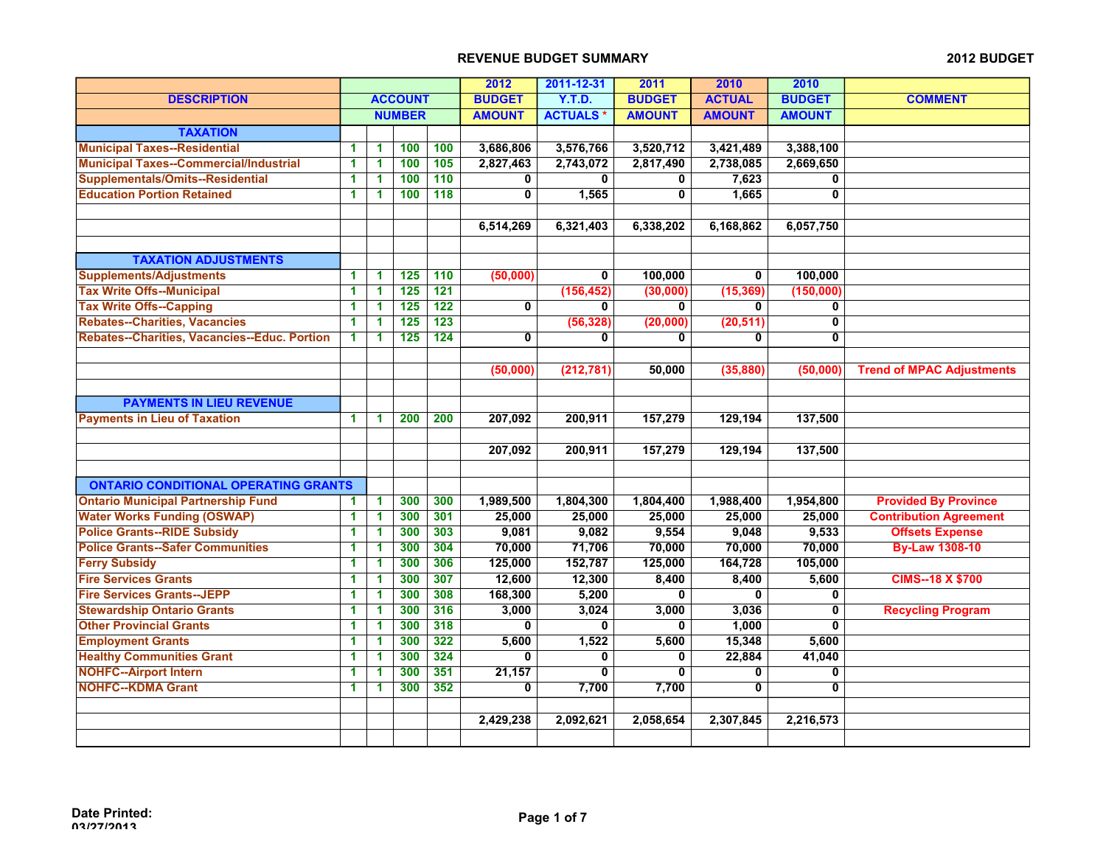|                                               |                      |                      |                  |                  | 2012          | 2011-12-31      | 2011          | 2010          | 2010                    |                                  |
|-----------------------------------------------|----------------------|----------------------|------------------|------------------|---------------|-----------------|---------------|---------------|-------------------------|----------------------------------|
| <b>DESCRIPTION</b>                            |                      |                      | <b>ACCOUNT</b>   |                  | <b>BUDGET</b> | Y.T.D.          | <b>BUDGET</b> | <b>ACTUAL</b> | <b>BUDGET</b>           | <b>COMMENT</b>                   |
|                                               |                      |                      | <b>NUMBER</b>    |                  | <b>AMOUNT</b> | <b>ACTUALS*</b> | <b>AMOUNT</b> | <b>AMOUNT</b> | <b>AMOUNT</b>           |                                  |
| <b>TAXATION</b>                               |                      |                      |                  |                  |               |                 |               |               |                         |                                  |
| <b>Municipal Taxes--Residential</b>           | 1                    | 1                    | 100              | 100              | 3,686,806     | 3,576,766       | 3,520,712     | 3,421,489     | 3,388,100               |                                  |
| <b>Municipal Taxes--Commercial/Industrial</b> | 1                    | 1                    | 100              | 105              | 2,827,463     | 2,743,072       | 2,817,490     | 2,738,085     | 2,669,650               |                                  |
| <b>Supplementals/Omits--Residential</b>       | 1.                   | 1                    | 100              | 110              | 0             | 0               | 0             | 7,623         | $\mathbf 0$             |                                  |
| <b>Education Portion Retained</b>             | 1                    | 1                    | 100              | 118              | $\mathbf 0$   | 1,565           | $\mathbf 0$   | 1,665         | $\mathbf 0$             |                                  |
|                                               |                      |                      |                  |                  |               |                 |               |               |                         |                                  |
|                                               |                      |                      |                  |                  | 6,514,269     | 6,321,403       | 6,338,202     | 6,168,862     | 6,057,750               |                                  |
|                                               |                      |                      |                  |                  |               |                 |               |               |                         |                                  |
| <b>TAXATION ADJUSTMENTS</b>                   |                      |                      |                  |                  |               |                 |               |               |                         |                                  |
| <b>Supplements/Adjustments</b>                | 1                    | 1                    | 125              | 110              | (50,000)      | 0               | 100,000       | 0             | 100,000                 |                                  |
| <b>Tax Write Offs--Municipal</b>              | 1                    | 1                    | $\overline{125}$ | $\overline{121}$ |               | (156, 452)      | (30,000)      | (15, 369)     | (150,000)               |                                  |
| <b>Tax Write Offs--Capping</b>                | $\blacktriangleleft$ | 1                    | 125              | 122              | $\mathbf{0}$  | 0               | $\mathbf{0}$  | 0             | $\mathbf 0$             |                                  |
| Rebates--Charities, Vacancies                 | $\blacktriangleleft$ | 1                    | $\overline{125}$ | $\overline{123}$ |               | (56, 328)       | (20,000)      | (20, 511)     | $\overline{\mathbf{0}}$ |                                  |
| Rebates--Charities, Vacancies--Educ. Portion  | $\blacktriangleleft$ | 1                    | 125              | $\overline{124}$ | $\mathbf 0$   | 0               | 0             | 0             | $\mathbf 0$             |                                  |
|                                               |                      |                      |                  |                  |               |                 |               |               |                         |                                  |
|                                               |                      |                      |                  |                  | (50,000)      | (212, 781)      | 50,000        | (35, 880)     | (50,000)                | <b>Trend of MPAC Adjustments</b> |
|                                               |                      |                      |                  |                  |               |                 |               |               |                         |                                  |
| <b>PAYMENTS IN LIEU REVENUE</b>               |                      |                      |                  |                  |               |                 |               |               |                         |                                  |
| <b>Payments in Lieu of Taxation</b>           | 1                    | 1                    | 200              | 200              | 207,092       | 200,911         | 157,279       | 129,194       | 137,500                 |                                  |
|                                               |                      |                      |                  |                  |               |                 |               |               |                         |                                  |
|                                               |                      |                      |                  |                  | 207,092       | 200,911         | 157,279       | 129,194       | 137,500                 |                                  |
|                                               |                      |                      |                  |                  |               |                 |               |               |                         |                                  |
| <b>ONTARIO CONDITIONAL OPERATING GRANTS</b>   |                      |                      |                  |                  |               |                 |               |               |                         |                                  |
| <b>Ontario Municipal Partnership Fund</b>     | 1                    | $\blacktriangleleft$ | 300              | 300              | 1,989,500     | 1,804,300       | 1,804,400     | 1,988,400     | 1,954,800               | <b>Provided By Province</b>      |
| <b>Water Works Funding (OSWAP)</b>            | 1                    | 1                    | 300              | 301              | 25,000        | 25,000          | 25,000        | 25,000        | 25,000                  | <b>Contribution Agreement</b>    |
| <b>Police Grants--RIDE Subsidy</b>            | 1                    | 1                    | 300              | 303              | 9,081         | 9,082           | 9,554         | 9,048         | 9,533                   | <b>Offsets Expense</b>           |
| <b>Police Grants--Safer Communities</b>       | 1                    | 1                    | 300              | 304              | 70,000        | 71,706          | 70,000        | 70,000        | 70,000                  | <b>By-Law 1308-10</b>            |
| <b>Ferry Subsidy</b>                          | 1                    | 1                    | 300              | 306              | 125,000       | 152,787         | 125,000       | 164,728       | 105,000                 |                                  |
| <b>Fire Services Grants</b>                   | 1                    | 1                    | 300              | 307              | 12,600        | 12,300          | 8,400         | 8,400         | 5,600                   | <b>CIMS--18 X \$700</b>          |
| <b>Fire Services Grants--JEPP</b>             | $\blacktriangleleft$ | 1                    | 300              | 308              | 168,300       | 5,200           | $\mathbf 0$   | $\mathbf{0}$  | $\mathbf 0$             |                                  |
| <b>Stewardship Ontario Grants</b>             | $\blacktriangleleft$ | 1                    | 300              | 316              | 3,000         | 3,024           | 3,000         | 3,036         | $\mathbf 0$             | <b>Recycling Program</b>         |
| <b>Other Provincial Grants</b>                | 1                    | 1                    | 300              | 318              | $\bf{0}$      | $\mathbf{0}$    | 0             | 1,000         | $\mathbf{0}$            |                                  |
| <b>Employment Grants</b>                      | 1                    | 1                    | 300              | 322              | 5,600         | 1,522           | 5,600         | 15,348        | 5,600                   |                                  |
| <b>Healthy Communities Grant</b>              | 1                    | 1                    | 300              | 324              | $\bf{0}$      | $\mathbf 0$     | $\mathbf 0$   | 22,884        | 41,040                  |                                  |
| <b>NOHFC--Airport Intern</b>                  | 1                    | 1                    | 300              | 351              | 21,157        | $\mathbf{0}$    | $\mathbf 0$   | 0             | $\mathbf 0$             |                                  |
| <b>NOHFC--KDMA Grant</b>                      | 1                    | 1                    | 300              | 352              | 0             | 7,700           | 7,700         | $\mathbf{0}$  | $\mathbf{0}$            |                                  |
|                                               |                      |                      |                  |                  |               |                 |               |               |                         |                                  |
|                                               |                      |                      |                  |                  | 2,429,238     | 2,092,621       | 2,058,654     | 2,307,845     | 2,216,573               |                                  |
|                                               |                      |                      |                  |                  |               |                 |               |               |                         |                                  |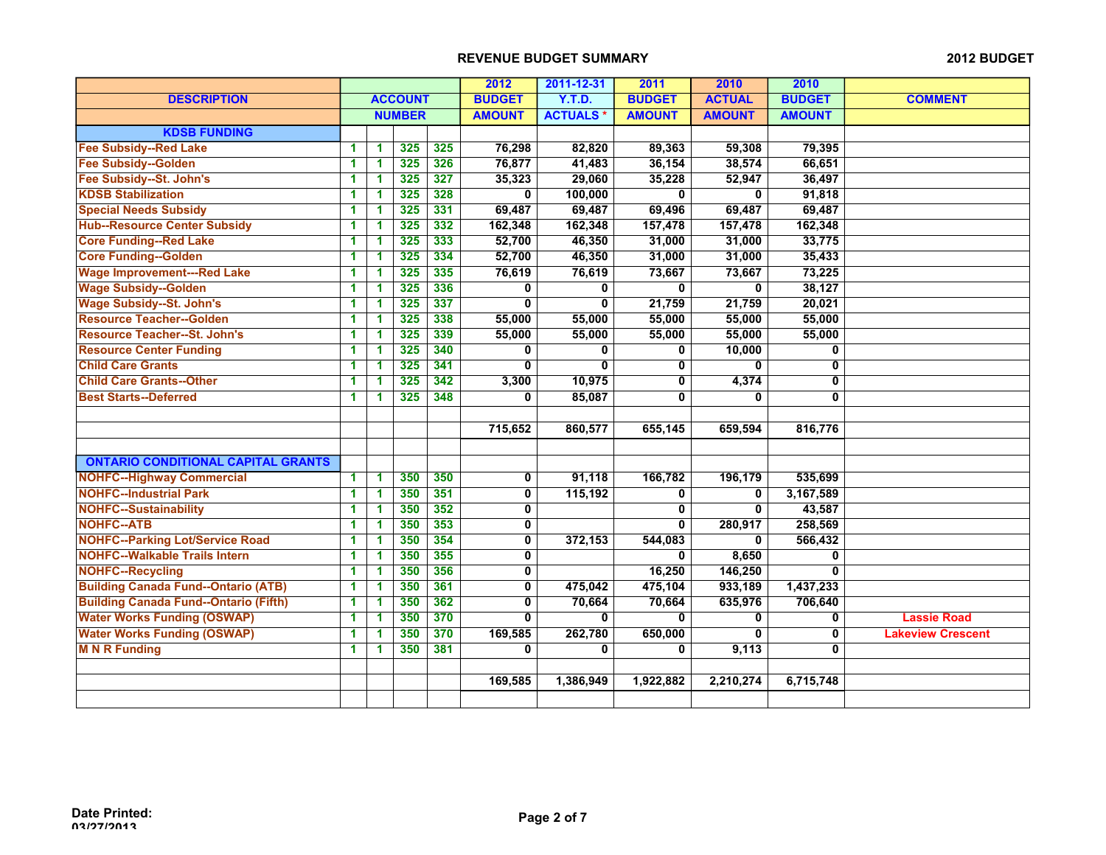|                                              |    |   |                |     | 2012                    | 2011-12-31      | 2011          | 2010          | 2010          |                          |
|----------------------------------------------|----|---|----------------|-----|-------------------------|-----------------|---------------|---------------|---------------|--------------------------|
| <b>DESCRIPTION</b>                           |    |   | <b>ACCOUNT</b> |     | <b>BUDGET</b>           | <b>Y.T.D.</b>   | <b>BUDGET</b> | <b>ACTUAL</b> | <b>BUDGET</b> | <b>COMMENT</b>           |
|                                              |    |   | <b>NUMBER</b>  |     | <b>AMOUNT</b>           | <b>ACTUALS*</b> | <b>AMOUNT</b> | <b>AMOUNT</b> | <b>AMOUNT</b> |                          |
| <b>KDSB FUNDING</b>                          |    |   |                |     |                         |                 |               |               |               |                          |
| <b>Fee Subsidy--Red Lake</b>                 | 1. | 1 | 325            | 325 | 76,298                  | 82,820          | 89,363        | 59,308        | 79,395        |                          |
| <b>Fee Subsidy--Golden</b>                   | 1  | 1 | 325            | 326 | 76,877                  | 41,483          | 36,154        | 38,574        | 66,651        |                          |
| Fee Subsidy--St. John's                      | 1  | 1 | 325            | 327 | 35,323                  | 29,060          | 35,228        | 52,947        | 36,497        |                          |
| <b>KDSB Stabilization</b>                    | 1  | 1 | 325            | 328 | $\mathbf 0$             | 100,000         | 0             | $\mathbf 0$   | 91,818        |                          |
| <b>Special Needs Subsidy</b>                 | 1  | 1 | 325            | 331 | 69,487                  | 69,487          | 69,496        | 69,487        | 69,487        |                          |
| <b>Hub--Resource Center Subsidy</b>          | 1  | 1 | 325            | 332 | 162,348                 | 162,348         | 157,478       | 157,478       | 162,348       |                          |
| <b>Core Funding--Red Lake</b>                | 1  | 1 | 325            | 333 | 52,700                  | 46,350          | 31,000        | 31,000        | 33,775        |                          |
| <b>Core Funding--Golden</b>                  | 1  | 1 | 325            | 334 | 52,700                  | 46,350          | 31,000        | 31,000        | 35,433        |                          |
| <b>Wage Improvement---Red Lake</b>           | 1  | 1 | 325            | 335 | 76,619                  | 76,619          | 73,667        | 73,667        | 73,225        |                          |
| <b>Wage Subsidy--Golden</b>                  | 1  | 1 | 325            | 336 | 0                       | 0               | 0             | 0             | 38,127        |                          |
| <b>Wage Subsidy--St. John's</b>              | 1  | 1 | 325            | 337 | $\bf{0}$                | $\overline{0}$  | 21,759        | 21,759        | 20,021        |                          |
| <b>Resource Teacher--Golden</b>              | 1  | 1 | 325            | 338 | 55,000                  | 55,000          | 55,000        | 55,000        | 55,000        |                          |
| <b>Resource Teacher--St. John's</b>          | 1  | 1 | 325            | 339 | 55,000                  | 55,000          | 55,000        | 55,000        | 55,000        |                          |
| <b>Resource Center Funding</b>               | 1  | 1 | 325            | 340 | $\bf{0}$                | $\mathbf{0}$    | $\bf{0}$      | 10,000        | 0             |                          |
| <b>Child Care Grants</b>                     | 1  | 1 | 325            | 341 | $\overline{0}$          | $\overline{0}$  | 0             | $\bf{0}$      | $\mathbf 0$   |                          |
| <b>Child Care Grants--Other</b>              | 1  | 1 | 325            | 342 | 3,300                   | 10,975          | 0             | 4,374         | 0             |                          |
| <b>Best Starts--Deferred</b>                 | 1  | 1 | 325            | 348 | 0                       | 85,087          | 0             | 0             | 0             |                          |
|                                              |    |   |                |     |                         |                 |               |               |               |                          |
|                                              |    |   |                |     | 715,652                 | 860,577         | 655,145       | 659,594       | 816,776       |                          |
|                                              |    |   |                |     |                         |                 |               |               |               |                          |
| <b>ONTARIO CONDITIONAL CAPITAL GRANTS</b>    |    |   |                |     |                         |                 |               |               |               |                          |
| <b>NOHFC--Highway Commercial</b>             | 1  | 1 | 350            | 350 | 0                       | 91,118          | 166,782       | 196,179       | 535,699       |                          |
| <b>NOHFC--Industrial Park</b>                | 1  | 1 | 350            | 351 | $\overline{\mathbf{0}}$ | 115,192         | 0             | 0             | 3,167,589     |                          |
| <b>NOHFC--Sustainability</b>                 | 1  | 1 | 350            | 352 | 0                       |                 | 0             | $\mathbf 0$   | 43,587        |                          |
| <b>NOHFC--ATB</b>                            | 1  | 1 | 350            | 353 | $\mathbf 0$             |                 | $\bf{0}$      | 280,917       | 258,569       |                          |
| <b>NOHFC--Parking Lot/Service Road</b>       | 1  | 1 | 350            | 354 | $\overline{0}$          | 372,153         | 544,083       | $\bf{0}$      | 566,432       |                          |
| <b>NOHFC--Walkable Trails Intern</b>         | 1  | 1 | 350            | 355 | 0                       |                 | $\bf{0}$      | 8,650         | 0             |                          |
| <b>NOHFC--Recycling</b>                      | 1  | 1 | 350            | 356 | 0                       |                 | 16,250        | 146,250       | $\mathbf{0}$  |                          |
| <b>Building Canada Fund--Ontario (ATB)</b>   | 1  | 1 | 350            | 361 | $\mathbf 0$             | 475,042         | 475,104       | 933,189       | 1,437,233     |                          |
| <b>Building Canada Fund--Ontario (Fifth)</b> | 1  | 1 | 350            | 362 | $\mathbf 0$             | 70,664          | 70,664        | 635,976       | 706,640       |                          |
| <b>Water Works Funding (OSWAP)</b>           | 1  | 1 | 350            | 370 | $\mathbf{0}$            | $\mathbf{0}$    | $\bf{0}$      | $\bf{0}$      | $\bf{0}$      | <b>Lassie Road</b>       |
| <b>Water Works Funding (OSWAP)</b>           | 1  | 1 | 350            | 370 | 169,585                 | 262,780         | 650,000       | 0             | 0             | <b>Lakeview Crescent</b> |
| <b>M N R Funding</b>                         | 1  | 1 | 350            | 381 | 0                       | 0               | 0             | 9,113         | 0             |                          |
|                                              |    |   |                |     |                         |                 |               |               |               |                          |
|                                              |    |   |                |     | 169,585                 | 1,386,949       | 1,922,882     | 2,210,274     | 6,715,748     |                          |
|                                              |    |   |                |     |                         |                 |               |               |               |                          |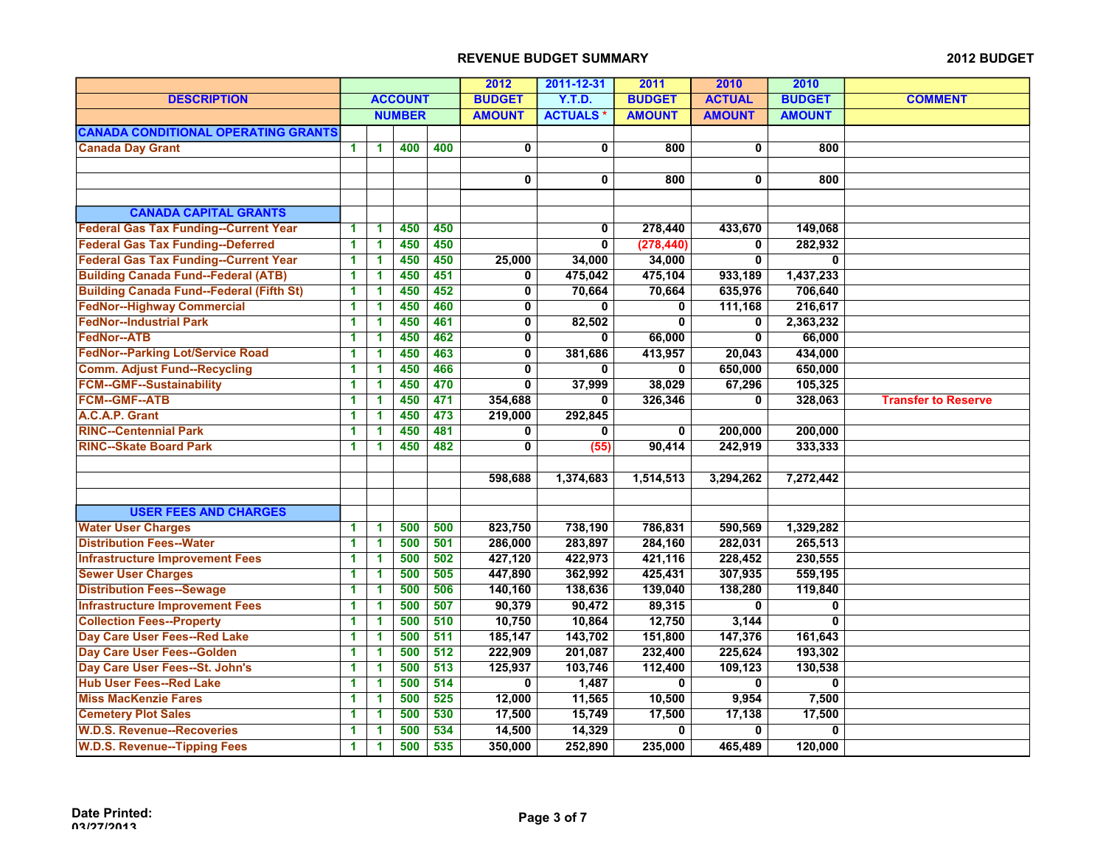|                                                 |                |                      |               |               | 2012                      | 2011-12-31      | 2011          | 2010           | 2010           |                            |
|-------------------------------------------------|----------------|----------------------|---------------|---------------|---------------------------|-----------------|---------------|----------------|----------------|----------------------------|
| <b>DESCRIPTION</b>                              | <b>ACCOUNT</b> |                      | <b>BUDGET</b> | <b>Y.T.D.</b> | <b>BUDGET</b>             | <b>ACTUAL</b>   | <b>BUDGET</b> | <b>COMMENT</b> |                |                            |
|                                                 |                |                      | <b>NUMBER</b> |               | <b>AMOUNT</b>             | <b>ACTUALS*</b> | <b>AMOUNT</b> | <b>AMOUNT</b>  | <b>AMOUNT</b>  |                            |
| <b>CANADA CONDITIONAL OPERATING GRANTS</b>      |                |                      |               |               |                           |                 |               |                |                |                            |
| <b>Canada Day Grant</b>                         | 1              | 1                    | 400           | 400           | $\mathbf 0$               | $\mathbf 0$     | 800           | $\mathbf 0$    | 800            |                            |
|                                                 |                |                      |               |               |                           |                 |               |                |                |                            |
|                                                 |                |                      |               |               | $\mathbf 0$               | $\mathbf 0$     | 800           | 0              | 800            |                            |
|                                                 |                |                      |               |               |                           |                 |               |                |                |                            |
| <b>CANADA CAPITAL GRANTS</b>                    |                |                      |               |               |                           |                 |               |                |                |                            |
| <b>Federal Gas Tax Funding--Current Year</b>    | 1              | 1                    | 450           | 450           |                           | $\mathbf 0$     | 278,440       | 433,670        | 149,068        |                            |
| <b>Federal Gas Tax Funding--Deferred</b>        | 1              | 1                    | 450           | 450           |                           | $\overline{0}$  | (278, 440)    | $\mathbf{0}$   | 282,932        |                            |
| <b>Federal Gas Tax Funding--Current Year</b>    | 1              | 1                    | 450           | 450           | 25,000                    | 34,000          | 34,000        | $\mathbf 0$    | 0              |                            |
| <b>Building Canada Fund--Federal (ATB)</b>      | 1              | 1                    | 450           | 451           | 0                         | 475,042         | 475,104       | 933,189        | 1,437,233      |                            |
| <b>Building Canada Fund--Federal (Fifth St)</b> | 1              | 1                    | 450           | 452           | $\mathbf 0$               | 70,664          | 70,664        | 635,976        | 706,640        |                            |
| <b>FedNor--Highway Commercial</b>               | 1              | $\blacktriangleleft$ | 450           | 460           | $\pmb{0}$                 | 0               | 0             | 111,168        | 216,617        |                            |
| <b>FedNor--Industrial Park</b>                  | 1              | 1                    | 450           | 461           | 0                         | 82,502          | $\mathbf 0$   | 0              | 2,363,232      |                            |
| FedNor--ATB                                     | 1              | 1                    | 450           | 462           | $\mathbf 0$               | $\mathbf{0}$    | 66,000        | 0              | 66,000         |                            |
| <b>FedNor--Parking Lot/Service Road</b>         | 1              | 1                    | 450           | 463           | $\mathbf 0$               | 381,686         | 413,957       | 20,043         | 434,000        |                            |
| <b>Comm. Adjust Fund--Recycling</b>             | 1              | 1                    | 450           | 466           | 0                         | 0               | $\mathbf{0}$  | 650,000        | 650,000        |                            |
| <b>FCM--GMF--Sustainability</b>                 | $\mathbf{1}$   | 1                    | 450           | 470           | $\overline{\mathfrak{o}}$ | 37,999          | 38,029        | 67,296         | 105,325        |                            |
| <b>FCM--GMF--ATB</b>                            | 1              | 1                    | 450           | 471           | 354,688                   | 0               | 326,346       | 0              | 328,063        | <b>Transfer to Reserve</b> |
| A.C.A.P. Grant                                  | 1              | 1                    | 450           | 473           | 219,000                   | 292,845         |               |                |                |                            |
| <b>RINC--Centennial Park</b>                    | 1              | 1                    | 450           | 481           | 0                         | 0               | 0             | 200,000        | 200,000        |                            |
| <b>RINC--Skate Board Park</b>                   | 1              | 1                    | 450           | 482           | $\overline{\mathbf{0}}$   | (55)            | 90,414        | 242,919        | 333,333        |                            |
|                                                 |                |                      |               |               |                           |                 |               |                |                |                            |
|                                                 |                |                      |               |               | 598,688                   | 1,374,683       | 1,514,513     | 3,294,262      | 7,272,442      |                            |
|                                                 |                |                      |               |               |                           |                 |               |                |                |                            |
| <b>USER FEES AND CHARGES</b>                    |                |                      |               |               |                           |                 |               |                |                |                            |
| <b>Water User Charges</b>                       | 1              | 1                    | 500           | 500           | 823,750                   | 738,190         | 786,831       | 590,569        | 1,329,282      |                            |
| <b>Distribution Fees--Water</b>                 | 1              | 1                    | 500           | 501           | 286,000                   | 283,897         | 284,160       | 282,031        | 265,513        |                            |
| <b>Infrastructure Improvement Fees</b>          | 1              | 1                    | 500           | 502           | 427,120                   | 422,973         | 421,116       | 228,452        | 230,555        |                            |
| <b>Sewer User Charges</b>                       | 1              | 1                    | 500           | 505           | 447,890                   | 362,992         | 425,431       | 307,935        | 559,195        |                            |
| <b>Distribution Fees--Sewage</b>                | 1              | 1                    | 500           | 506           | 140,160                   | 138,636         | 139,040       | 138,280        | 119,840        |                            |
| <b>Infrastructure Improvement Fees</b>          | 1              | 1                    | 500           | 507           | 90,379                    | 90,472          | 89,315        | 0              | $\mathbf{0}$   |                            |
| <b>Collection Fees--Property</b>                | 1              | 1                    | 500           | 510           | 10,750                    | 10,864          | 12,750        | 3,144          | 0              |                            |
| Day Care User Fees--Red Lake                    | 1              | 1                    | 500           | 511           | 185,147                   | 143,702         | 151,800       | 147,376        | 161,643        |                            |
| Day Care User Fees--Golden                      | 1              | 1                    | 500           | 512           | 222,909                   | 201,087         | 232,400       | 225,624        | 193,302        |                            |
| Day Care User Fees--St. John's                  | 1              | 1                    | 500           | 513           | 125,937                   | 103,746         | 112,400       | 109,123        | 130,538        |                            |
| <b>Hub User Fees--Red Lake</b>                  | 1              | 1                    | 500           | 514           | $\overline{0}$            | 1,487           | $\mathbf 0$   | $\mathbf{0}$   | $\overline{0}$ |                            |
| <b>Miss MacKenzie Fares</b>                     | 1              | 1                    | 500           | 525           | 12,000                    | 11,565          | 10,500        | 9,954          | 7,500          |                            |
| <b>Cemetery Plot Sales</b>                      | 1              | $\blacktriangleleft$ | 500           | 530           | 17,500                    | 15,749          | 17,500        | 17,138         | 17,500         |                            |
| <b>W.D.S. Revenue--Recoveries</b>               | 1              | 1                    | 500           | 534           | 14,500                    | 14,329          | 0             | $\mathbf{0}$   | $\mathbf{0}$   |                            |
| <b>W.D.S. Revenue--Tipping Fees</b>             | 1              | 1                    | 500           | 535           | 350,000                   | 252,890         | 235,000       | 465,489        | 120,000        |                            |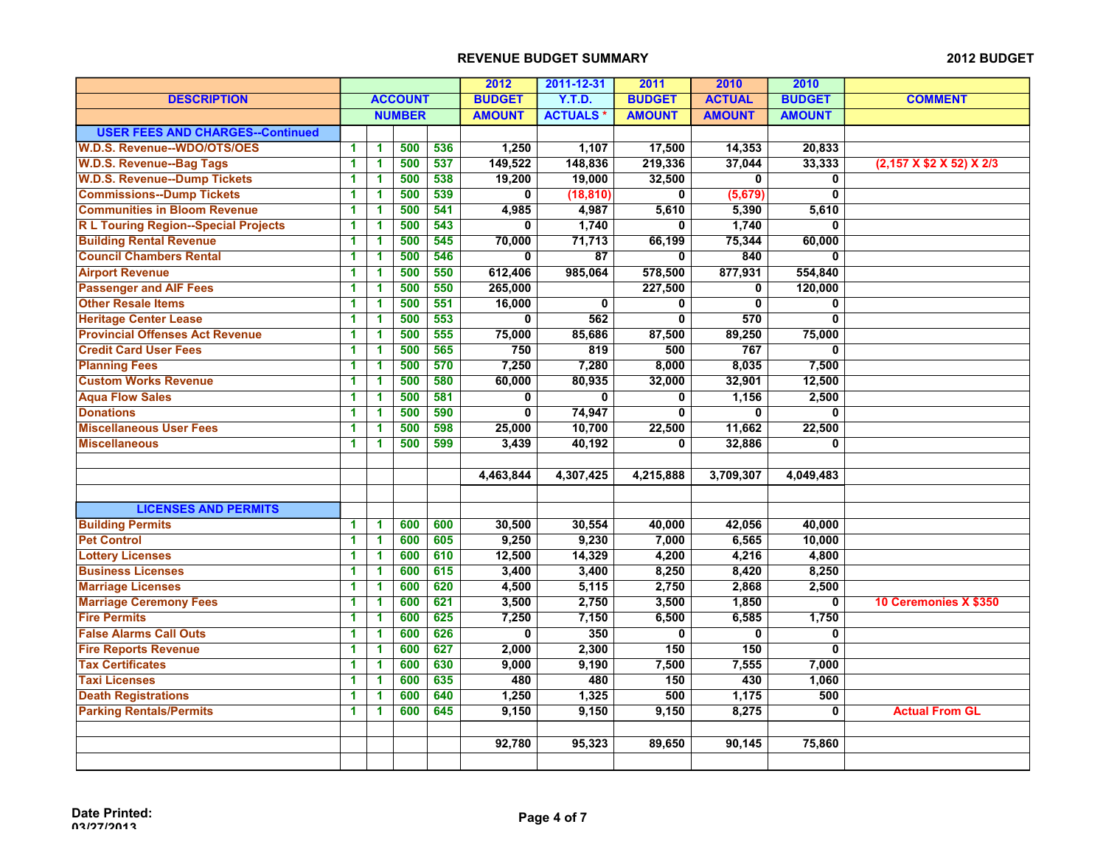|                                            |                      |                      |                |     | 2012                    | 2011-12-31      | 2011                    | 2010                    | 2010                    |                          |
|--------------------------------------------|----------------------|----------------------|----------------|-----|-------------------------|-----------------|-------------------------|-------------------------|-------------------------|--------------------------|
| <b>DESCRIPTION</b>                         |                      |                      | <b>ACCOUNT</b> |     | <b>BUDGET</b>           | <b>Y.T.D.</b>   | <b>BUDGET</b>           | <b>ACTUAL</b>           | <b>BUDGET</b>           | <b>COMMENT</b>           |
|                                            |                      |                      | <b>NUMBER</b>  |     | <b>AMOUNT</b>           | <b>ACTUALS*</b> | <b>AMOUNT</b>           | <b>AMOUNT</b>           | <b>AMOUNT</b>           |                          |
| <b>USER FEES AND CHARGES--Continued</b>    |                      |                      |                |     |                         |                 |                         |                         |                         |                          |
| <b>W.D.S. Revenue--WDO/OTS/OES</b>         | 1                    | 1                    | 500            | 536 | 1,250                   | 1,107           | 17,500                  | 14,353                  | 20,833                  |                          |
| <b>W.D.S. Revenue--Bag Tags</b>            | $\blacktriangleleft$ | $\mathbf{1}$         | 500            | 537 | 149,522                 | 148,836         | 219,336                 | 37,044                  | 33,333                  | (2,157 X \$2 X 52) X 2/3 |
| <b>W.D.S. Revenue--Dump Tickets</b>        | 1                    | 1                    | 500            | 538 | 19,200                  | 19,000          | 32,500                  | $\mathbf{0}$            | 0                       |                          |
| <b>Commissions--Dump Tickets</b>           | 1                    | 1                    | 500            | 539 | 0                       | (18, 810)       | $\mathbf{0}$            | (5,679)                 | $\mathbf{0}$            |                          |
| <b>Communities in Bloom Revenue</b>        | 1                    | $\overline{1}$       | 500            | 541 | 4,985                   | 4,987           | 5,610                   | 5,390                   | 5,610                   |                          |
| <b>RL Touring Region--Special Projects</b> | 1                    | 1                    | 500            | 543 | $\mathbf 0$             | 1,740           | $\mathbf 0$             | 1,740                   | $\mathbf 0$             |                          |
| <b>Building Rental Revenue</b>             | 1                    | 1                    | 500            | 545 | 70,000                  | 71,713          | 66,199                  | 75,344                  | 60,000                  |                          |
| <b>Council Chambers Rental</b>             | 1                    | 1                    | 500            | 546 | 0                       | $\overline{87}$ | 0                       | 840                     | 0                       |                          |
| <b>Airport Revenue</b>                     | 1                    | 1                    | 500            | 550 | 612,406                 | 985,064         | 578,500                 | 877,931                 | 554,840                 |                          |
| <b>Passenger and AIF Fees</b>              | 1                    | 1                    | 500            | 550 | 265,000                 |                 | 227,500                 | 0                       | 120,000                 |                          |
| <b>Other Resale Items</b>                  | 1                    | 1                    | 500            | 551 | 16,000                  | $\mathbf{0}$    | $\mathbf{0}$            | $\mathbf{0}$            | $\mathbf{0}$            |                          |
| <b>Heritage Center Lease</b>               | 1                    | 1                    | 500            | 553 | 0                       | 562             | $\overline{\mathbf{0}}$ | 570                     | 0                       |                          |
| <b>Provincial Offenses Act Revenue</b>     | 1                    | $\blacktriangleleft$ | 500            | 555 | 75,000                  | 85,686          | 87,500                  | 89,250                  | 75,000                  |                          |
| <b>Credit Card User Fees</b>               | 1                    | $\blacktriangleleft$ | 500            | 565 | 750                     | 819             | 500                     | 767                     | $\mathbf{0}$            |                          |
| <b>Planning Fees</b>                       | 1                    | 1                    | 500            | 570 | 7,250                   | 7,280           | 8,000                   | 8,035                   | 7,500                   |                          |
| <b>Custom Works Revenue</b>                | 1                    | $\mathbf 1$          | 500            | 580 | 60,000                  | 80,935          | 32,000                  | 32,901                  | 12,500                  |                          |
| <b>Aqua Flow Sales</b>                     | 1                    | 1                    | 500            | 581 | 0                       | $\mathbf 0$     | 0                       | 1,156                   | 2,500                   |                          |
| <b>Donations</b>                           | 1                    | 1                    | 500            | 590 | 0                       | 74,947          | $\mathbf{0}$            | $\mathbf{0}$            | $\mathbf{0}$            |                          |
| <b>Miscellaneous User Fees</b>             | 1                    | 1                    | 500            | 598 | 25,000                  | 10,700          | 22,500                  | 11,662                  | 22,500                  |                          |
| <b>Miscellaneous</b>                       | 1                    | 1                    | 500            | 599 | 3,439                   | 40,192          | $\mathbf{0}$            | 32,886                  | $\overline{\mathbf{0}}$ |                          |
|                                            |                      |                      |                |     |                         |                 |                         |                         |                         |                          |
|                                            |                      |                      |                |     | 4,463,844               | 4,307,425       | 4,215,888               | 3,709,307               | 4,049,483               |                          |
|                                            |                      |                      |                |     |                         |                 |                         |                         |                         |                          |
| <b>LICENSES AND PERMITS</b>                |                      |                      |                |     |                         |                 |                         |                         |                         |                          |
| <b>Building Permits</b>                    | 1                    | $\blacktriangleleft$ | 600            | 600 | 30,500                  | 30,554          | 40,000                  | 42,056                  | 40,000                  |                          |
| <b>Pet Control</b>                         | 1                    | $\blacktriangleleft$ | 600            | 605 | 9,250                   | 9,230           | 7,000                   | 6,565                   | 10,000                  |                          |
| <b>Lottery Licenses</b>                    | 1                    | 1                    | 600            | 610 | 12,500                  | 14,329          | 4,200                   | 4,216                   | 4,800                   |                          |
| <b>Business Licenses</b>                   | 1                    | $\mathbf{1}$         | 600            | 615 | 3,400                   | 3,400           | 8,250                   | 8,420                   | 8,250                   |                          |
| <b>Marriage Licenses</b>                   | 1                    | 1                    | 600            | 620 | 4,500                   | 5,115           | 2,750                   | 2,868                   | 2,500                   |                          |
| <b>Marriage Ceremony Fees</b>              | 1                    | 1                    | 600            | 621 | 3,500                   | 2,750           | 3,500                   | 1,850                   | $\mathbf{0}$            | 10 Ceremonies X \$350    |
| <b>Fire Permits</b>                        | 1                    | 1                    | 600            | 625 | 7,250                   | 7,150           | 6,500                   | 6,585                   | 1,750                   |                          |
| <b>False Alarms Call Outs</b>              | 1                    | 1                    | 600            | 626 | $\overline{\mathbf{0}}$ | 350             | $\overline{\mathbf{0}}$ | $\overline{\mathbf{0}}$ | $\mathbf 0$             |                          |
| <b>Fire Reports Revenue</b>                | 1                    | $\blacktriangleleft$ | 600            | 627 | 2,000                   | 2,300           | 150                     | 150                     | 0                       |                          |
| <b>Tax Certificates</b>                    | 1                    | 1                    | 600            | 630 | 9,000                   | 9,190           | 7,500                   | 7,555                   | 7,000                   |                          |
| <b>Taxi Licenses</b>                       | 1                    | 1                    | 600            | 635 | 480                     | 480             | 150                     | 430                     | 1,060                   |                          |
| <b>Death Registrations</b>                 | 1                    | 1                    | 600            | 640 | 1,250                   | 1,325           | 500                     | 1,175                   | 500                     |                          |
| <b>Parking Rentals/Permits</b>             | 1                    | 1                    | 600            | 645 | 9,150                   | 9,150           | 9,150                   | 8,275                   | $\overline{0}$          | <b>Actual From GL</b>    |
|                                            |                      |                      |                |     |                         |                 |                         |                         |                         |                          |
|                                            |                      |                      |                |     | 92,780                  | 95,323          | 89,650                  | 90,145                  | 75,860                  |                          |
|                                            |                      |                      |                |     |                         |                 |                         |                         |                         |                          |
|                                            |                      |                      |                |     |                         |                 |                         |                         |                         |                          |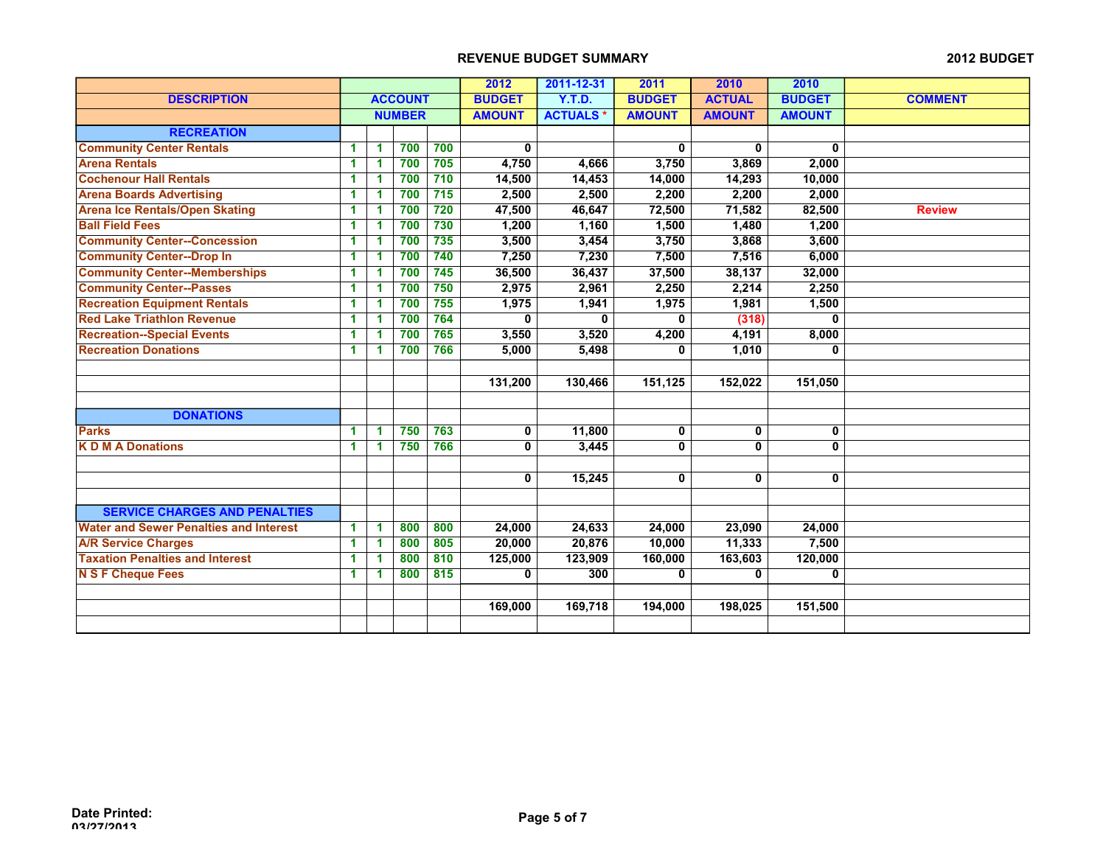|                                               |    |   |                |     | 2012          | 2011-12-31      | 2011          | 2010          | 2010          |                |
|-----------------------------------------------|----|---|----------------|-----|---------------|-----------------|---------------|---------------|---------------|----------------|
| <b>DESCRIPTION</b>                            |    |   | <b>ACCOUNT</b> |     | <b>BUDGET</b> | Y.T.D.          | <b>BUDGET</b> | <b>ACTUAL</b> | <b>BUDGET</b> | <b>COMMENT</b> |
|                                               |    |   | <b>NUMBER</b>  |     | <b>AMOUNT</b> | <b>ACTUALS*</b> | <b>AMOUNT</b> | <b>AMOUNT</b> | <b>AMOUNT</b> |                |
| <b>RECREATION</b>                             |    |   |                |     |               |                 |               |               |               |                |
| <b>Community Center Rentals</b>               | 1. | 1 | 700            | 700 | 0             |                 | 0             | 0             | 0             |                |
| <b>Arena Rentals</b>                          | 1  | 1 | 700            | 705 | 4,750         | 4,666           | 3,750         | 3,869         | 2,000         |                |
| <b>Cochenour Hall Rentals</b>                 | 1  | 1 | 700            | 710 | 14,500        | 14,453          | 14,000        | 14,293        | 10,000        |                |
| <b>Arena Boards Advertising</b>               | 1  | 1 | 700            | 715 | 2,500         | 2,500           | 2,200         | 2,200         | 2,000         |                |
| <b>Arena Ice Rentals/Open Skating</b>         | 1  | 1 | 700            | 720 | 47,500        | 46,647          | 72,500        | 71,582        | 82,500        | <b>Review</b>  |
| <b>Ball Field Fees</b>                        | 1  |   | 700            | 730 | 1,200         | 1,160           | 1,500         | 1,480         | 1,200         |                |
| <b>Community Center--Concession</b>           | 1  | 1 | 700            | 735 | 3,500         | 3,454           | 3,750         | 3,868         | 3,600         |                |
| <b>Community Center--Drop In</b>              | 1  | 1 | 700            | 740 | 7,250         | 7,230           | 7,500         | 7,516         | 6,000         |                |
| <b>Community Center--Memberships</b>          | 1  | 1 | 700            | 745 | 36,500        | 36,437          | 37,500        | 38,137        | 32,000        |                |
| <b>Community Center--Passes</b>               | 1  | 1 | 700            | 750 | 2,975         | 2,961           | 2,250         | 2,214         | 2,250         |                |
| <b>Recreation Equipment Rentals</b>           | 1  | 1 | 700            | 755 | 1,975         | 1,941           | 1,975         | 1,981         | 1,500         |                |
| <b>Red Lake Triathlon Revenue</b>             | 1  | 1 | 700            | 764 | 0             | 0               | 0             | (318)         | 0             |                |
| <b>Recreation--Special Events</b>             | 1  | 1 | 700            | 765 | 3,550         | 3,520           | 4,200         | 4,191         | 8,000         |                |
| <b>Recreation Donations</b>                   | 1  | 1 | 700            | 766 | 5,000         | 5,498           | $\mathbf{0}$  | 1,010         | $\mathbf{0}$  |                |
|                                               |    |   |                |     |               |                 |               |               |               |                |
|                                               |    |   |                |     | 131,200       | 130,466         | 151,125       | 152,022       | 151,050       |                |
|                                               |    |   |                |     |               |                 |               |               |               |                |
| <b>DONATIONS</b>                              |    |   |                |     |               |                 |               |               |               |                |
| <b>Parks</b>                                  | 1. | 1 | 750            | 763 | 0             | 11,800          | 0             | 0             | 0             |                |
| <b>KDMADonations</b>                          | 1  | 1 | 750            | 766 | 0             | 3,445           | $\mathbf 0$   | $\mathbf{0}$  | $\mathbf{0}$  |                |
|                                               |    |   |                |     |               |                 |               |               |               |                |
|                                               |    |   |                |     | 0             | 15,245          | 0             | 0             | 0             |                |
|                                               |    |   |                |     |               |                 |               |               |               |                |
| <b>SERVICE CHARGES AND PENALTIES</b>          |    |   |                |     |               |                 |               |               |               |                |
| <b>Water and Sewer Penalties and Interest</b> | 1  | 1 | 800            | 800 | 24,000        | 24,633          | 24,000        | 23,090        | 24,000        |                |
| <b>A/R Service Charges</b>                    | 1  | 1 | 800            | 805 | 20,000        | 20,876          | 10,000        | 11,333        | 7,500         |                |
| <b>Taxation Penalties and Interest</b>        | 1  | 1 | 800            | 810 | 125,000       | 123,909         | 160,000       | 163,603       | 120,000       |                |
| <b>N S F Cheque Fees</b>                      | 1  | 1 | 800            | 815 | 0             | 300             | 0             | 0             | 0             |                |
|                                               |    |   |                |     |               |                 |               |               |               |                |
|                                               |    |   |                |     | 169,000       | 169,718         | 194,000       | 198,025       | 151,500       |                |
|                                               |    |   |                |     |               |                 |               |               |               |                |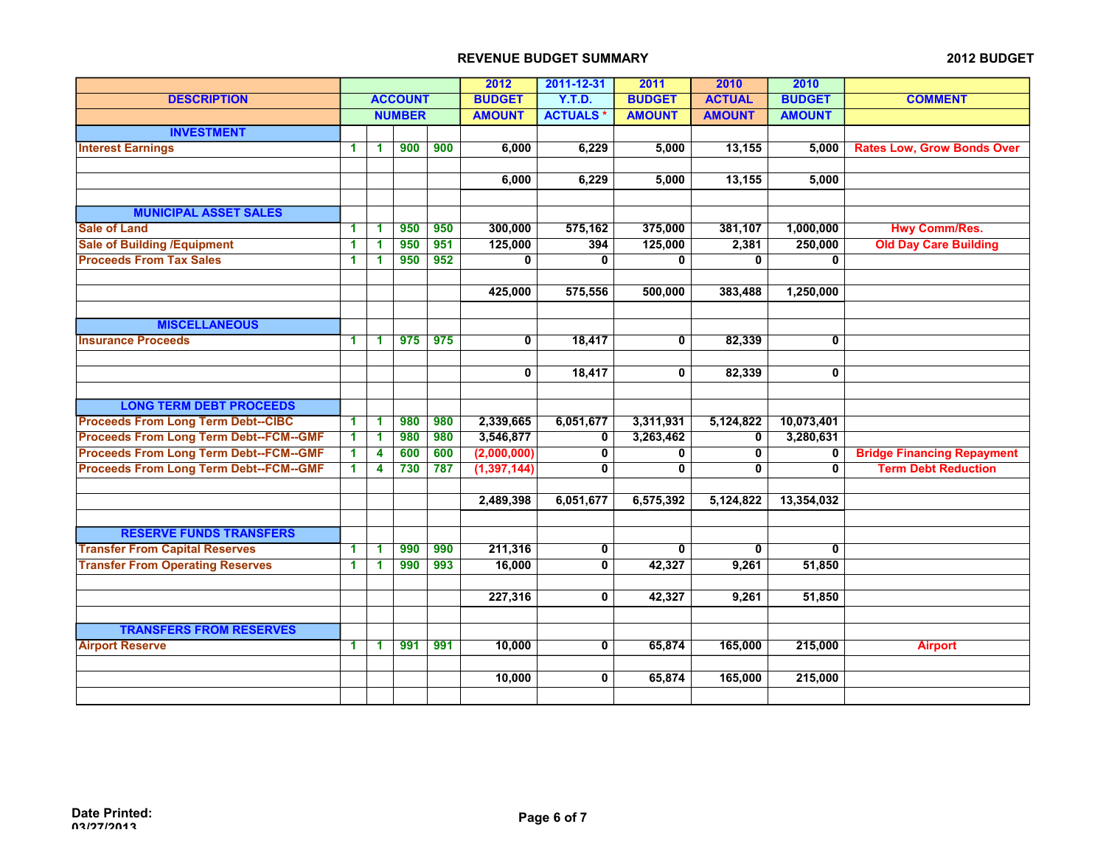|                                               |    |                      |                |     | 2012          | 2011-12-31      | 2011          | 2010          | 2010          |                                   |
|-----------------------------------------------|----|----------------------|----------------|-----|---------------|-----------------|---------------|---------------|---------------|-----------------------------------|
| <b>DESCRIPTION</b>                            |    |                      | <b>ACCOUNT</b> |     | <b>BUDGET</b> | Y.T.D.          | <b>BUDGET</b> | <b>ACTUAL</b> | <b>BUDGET</b> | <b>COMMENT</b>                    |
|                                               |    |                      | <b>NUMBER</b>  |     | <b>AMOUNT</b> | <b>ACTUALS*</b> | <b>AMOUNT</b> | <b>AMOUNT</b> | <b>AMOUNT</b> |                                   |
| <b>INVESTMENT</b>                             |    |                      |                |     |               |                 |               |               |               |                                   |
| <b>Interest Earnings</b>                      | 1. | 1                    | 900            | 900 | 6,000         | 6,229           | 5,000         | 13,155        | 5,000         | <b>Rates Low, Grow Bonds Over</b> |
|                                               |    |                      |                |     |               |                 |               |               |               |                                   |
|                                               |    |                      |                |     | 6,000         | 6,229           | 5,000         | 13,155        | 5,000         |                                   |
|                                               |    |                      |                |     |               |                 |               |               |               |                                   |
| <b>MUNICIPAL ASSET SALES</b>                  |    |                      |                |     |               |                 |               |               |               |                                   |
| <b>Sale of Land</b>                           | 1  | 1                    | 950            | 950 | 300,000       | 575,162         | 375,000       | 381,107       | 1,000,000     | <b>Hwy Comm/Res.</b>              |
| <b>Sale of Building /Equipment</b>            | 1  | 1                    | 950            | 951 | 125,000       | 394             | 125,000       | 2,381         | 250,000       | <b>Old Day Care Building</b>      |
| <b>Proceeds From Tax Sales</b>                | 1. | $\blacktriangleleft$ | 950            | 952 | 0             | $\mathbf 0$     | $\mathbf 0$   | 0             | 0             |                                   |
|                                               |    |                      |                |     |               |                 |               |               |               |                                   |
|                                               |    |                      |                |     | 425,000       | 575,556         | 500,000       | 383,488       | 1,250,000     |                                   |
|                                               |    |                      |                |     |               |                 |               |               |               |                                   |
| <b>MISCELLANEOUS</b>                          |    |                      |                |     |               |                 |               |               |               |                                   |
| <b>Insurance Proceeds</b>                     | 1. | 1                    | 975            | 975 | $\mathbf 0$   | 18,417          | $\mathbf 0$   | 82,339        | $\mathbf 0$   |                                   |
|                                               |    |                      |                |     |               |                 |               |               |               |                                   |
|                                               |    |                      |                |     | 0             | 18,417          | 0             | 82,339        | 0             |                                   |
|                                               |    |                      |                |     |               |                 |               |               |               |                                   |
| <b>LONG TERM DEBT PROCEEDS</b>                |    |                      |                |     |               |                 |               |               |               |                                   |
| <b>Proceeds From Long Term Debt--CIBC</b>     | 1. | 1                    | 980            | 980 | 2,339,665     | 6,051,677       | 3,311,931     | 5,124,822     | 10,073,401    |                                   |
| <b>Proceeds From Long Term Debt--FCM--GMF</b> | 1. | 1                    | 980            | 980 | 3,546,877     | 0               | 3,263,462     | 0             | 3,280,631     |                                   |
| <b>Proceeds From Long Term Debt--FCM--GMF</b> | 1. | 4                    | 600            | 600 | (2,000,000)   | 0               | $\mathbf 0$   | 0             | 0             | <b>Bridge Financing Repayment</b> |
| <b>Proceeds From Long Term Debt--FCM--GMF</b> | 1. | 4                    | 730            | 787 | (1, 397, 144) | 0               | 0             | 0             | $\mathbf{0}$  | <b>Term Debt Reduction</b>        |
|                                               |    |                      |                |     |               |                 |               |               |               |                                   |
|                                               |    |                      |                |     | 2,489,398     | 6,051,677       | 6,575,392     | 5,124,822     | 13,354,032    |                                   |
|                                               |    |                      |                |     |               |                 |               |               |               |                                   |
| <b>RESERVE FUNDS TRANSFERS</b>                |    |                      |                |     |               |                 |               |               |               |                                   |
| <b>Transfer From Capital Reserves</b>         | 1. | 1                    | 990            | 990 | 211,316       | 0               | $\mathbf 0$   | $\mathbf 0$   | $\mathbf 0$   |                                   |
| <b>Transfer From Operating Reserves</b>       | 1. | 1                    | 990            | 993 | 16,000        | 0               | 42,327        | 9,261         | 51,850        |                                   |
|                                               |    |                      |                |     |               |                 |               |               |               |                                   |
|                                               |    |                      |                |     | 227,316       | 0               | 42,327        | 9,261         | 51,850        |                                   |
|                                               |    |                      |                |     |               |                 |               |               |               |                                   |
| <b>TRANSFERS FROM RESERVES</b>                |    |                      |                |     |               |                 |               |               |               |                                   |
| <b>Airport Reserve</b>                        | 1. | 1                    | 991            | 991 | 10,000        | 0               | 65,874        | 165,000       | 215,000       | <b>Airport</b>                    |
|                                               |    |                      |                |     |               |                 |               |               |               |                                   |
|                                               |    |                      |                |     | 10,000        | 0               | 65,874        | 165,000       | 215,000       |                                   |
|                                               |    |                      |                |     |               |                 |               |               |               |                                   |